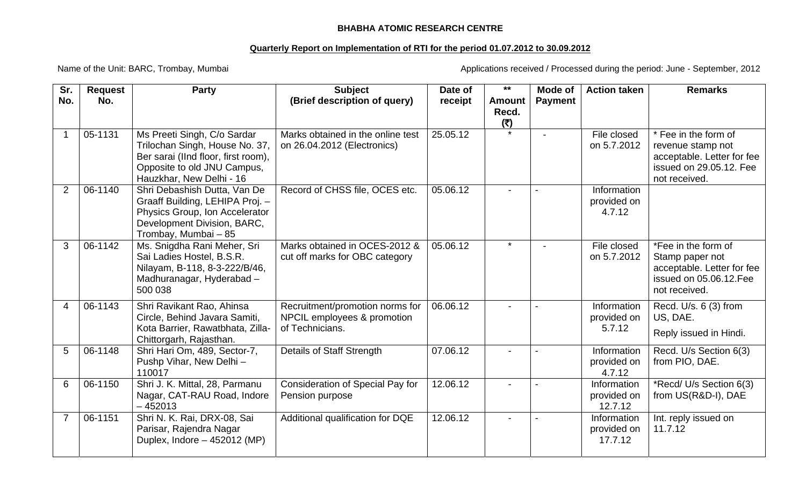## **BHABHA ATOMIC RESEARCH CENTRE**

## **Quarterly Report on Implementation of RTI for the period 01.07.2012 to 30.09.2012**

Name of the Unit: BARC, Trombay, Mumbai Manusculi Applications received / Processed during the period: June - September, 2012

| Sr.            | <b>Request</b> | <b>Party</b>                                                                                                                                                    | <b>Subject</b>                                                                    | Date of  | $***$                         | Mode of        | <b>Action taken</b>                   | <b>Remarks</b>                                                                                                      |
|----------------|----------------|-----------------------------------------------------------------------------------------------------------------------------------------------------------------|-----------------------------------------------------------------------------------|----------|-------------------------------|----------------|---------------------------------------|---------------------------------------------------------------------------------------------------------------------|
| No.            | No.            |                                                                                                                                                                 | (Brief description of query)                                                      | receipt  | <b>Amount</b><br>Recd.<br>(5) | <b>Payment</b> |                                       |                                                                                                                     |
|                | 05-1131        | Ms Preeti Singh, C/o Sardar<br>Trilochan Singh, House No. 37,<br>Ber sarai (IInd floor, first room),<br>Opposite to old JNU Campus,<br>Hauzkhar, New Delhi - 16 | Marks obtained in the online test<br>on 26.04.2012 (Electronics)                  | 25.05.12 |                               |                | File closed<br>on 5.7.2012            | * Fee in the form of<br>revenue stamp not<br>acceptable. Letter for fee<br>issued on 29.05.12. Fee<br>not received. |
| $\overline{2}$ | 06-1140        | Shri Debashish Dutta, Van De<br>Graaff Building, LEHIPA Proj. -<br>Physics Group, Ion Accelerator<br>Development Division, BARC,<br>Trombay, Mumbai - 85        | Record of CHSS file, OCES etc.                                                    | 05.06.12 |                               |                | Information<br>provided on<br>4.7.12  |                                                                                                                     |
| 3              | 06-1142        | Ms. Snigdha Rani Meher, Sri<br>Sai Ladies Hostel, B.S.R.<br>Nilayam, B-118, 8-3-222/B/46,<br>Madhuranagar, Hyderabad -<br>500 038                               | Marks obtained in OCES-2012 &<br>cut off marks for OBC category                   | 05.06.12 | $\star$                       |                | File closed<br>on 5.7.2012            | *Fee in the form of<br>Stamp paper not<br>acceptable. Letter for fee<br>issued on 05.06.12.Fee<br>not received.     |
| $\overline{4}$ | 06-1143        | Shri Ravikant Rao, Ahinsa<br>Circle, Behind Javara Samiti,<br>Kota Barrier, Rawatbhata, Zilla-<br>Chittorgarh, Rajasthan.                                       | Recruitment/promotion norms for<br>NPCIL employees & promotion<br>of Technicians. | 06.06.12 |                               |                | Information<br>provided on<br>5.7.12  | Recd. U/s. 6 (3) from<br>US, DAE.<br>Reply issued in Hindi.                                                         |
| 5              | 06-1148        | Shri Hari Om, 489, Sector-7,<br>Pushp Vihar, New Delhi-<br>110017                                                                                               | Details of Staff Strength                                                         | 07.06.12 |                               |                | Information<br>provided on<br>4.7.12  | Recd. U/s Section 6(3)<br>from PIO, DAE.                                                                            |
| 6              | 06-1150        | Shri J. K. Mittal, 28, Parmanu<br>Nagar, CAT-RAU Road, Indore<br>$-452013$                                                                                      | <b>Consideration of Special Pay for</b><br>Pension purpose                        | 12.06.12 |                               |                | Information<br>provided on<br>12.7.12 | *Recd/ U/s Section 6(3)<br>from US(R&D-I), DAE                                                                      |
|                | 06-1151        | Shri N. K. Rai, DRX-08, Sai<br>Parisar, Rajendra Nagar<br>Duplex, Indore - 452012 (MP)                                                                          | Additional qualification for DQE                                                  | 12.06.12 |                               |                | Information<br>provided on<br>17.7.12 | Int. reply issued on<br>11.7.12                                                                                     |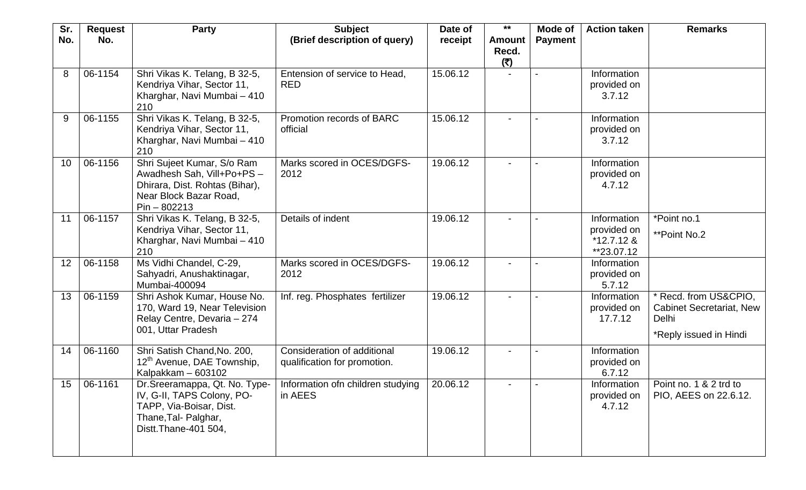| Sr. | <b>Request</b> | <b>Party</b>                                                                                                                             | <b>Subject</b>                                              | Date of  | $***$                         | Mode of        | <b>Action taken</b>                                      | <b>Remarks</b>                                                                            |
|-----|----------------|------------------------------------------------------------------------------------------------------------------------------------------|-------------------------------------------------------------|----------|-------------------------------|----------------|----------------------------------------------------------|-------------------------------------------------------------------------------------------|
| No. | No.            |                                                                                                                                          | (Brief description of query)                                | receipt  | <b>Amount</b><br>Recd.<br>(5) | <b>Payment</b> |                                                          |                                                                                           |
| 8   | 06-1154        | Shri Vikas K. Telang, B 32-5,<br>Kendriya Vihar, Sector 11,<br>Kharghar, Navi Mumbai - 410<br>210                                        | Entension of service to Head,<br><b>RED</b>                 | 15.06.12 |                               |                | Information<br>provided on<br>3.7.12                     |                                                                                           |
| 9   | 06-1155        | Shri Vikas K. Telang, B 32-5,<br>Kendriya Vihar, Sector 11,<br>Kharghar, Navi Mumbai - 410<br>210                                        | Promotion records of BARC<br>official                       | 15.06.12 |                               |                | Information<br>provided on<br>3.7.12                     |                                                                                           |
| 10  | 06-1156        | Shri Sujeet Kumar, S/o Ram<br>Awadhesh Sah, Vill+Po+PS -<br>Dhirara, Dist. Rohtas (Bihar),<br>Near Block Bazar Road,<br>$Pin - 802213$   | Marks scored in OCES/DGFS-<br>2012                          | 19.06.12 |                               |                | Information<br>provided on<br>4.7.12                     |                                                                                           |
| 11  | 06-1157        | Shri Vikas K. Telang, B 32-5,<br>Kendriya Vihar, Sector 11,<br>Kharghar, Navi Mumbai - 410<br>210                                        | Details of indent                                           | 19.06.12 |                               |                | Information<br>provided on<br>$*12.7.12$ &<br>**23.07.12 | *Point no.1<br>**Point No.2                                                               |
| 12  | 06-1158        | Ms Vidhi Chandel, C-29,<br>Sahyadri, Anushaktinagar,<br>Mumbai-400094                                                                    | Marks scored in OCES/DGFS-<br>2012                          | 19.06.12 |                               |                | Information<br>provided on<br>5.7.12                     |                                                                                           |
| 13  | 06-1159        | Shri Ashok Kumar, House No.<br>170, Ward 19, Near Television<br>Relay Centre, Devaria - 274<br>001, Uttar Pradesh                        | Inf. reg. Phosphates fertilizer                             | 19.06.12 |                               |                | Information<br>provided on<br>17.7.12                    | Recd. from US&CPIO,<br><b>Cabinet Secretariat, New</b><br>Delhi<br>*Reply issued in Hindi |
| 14  | 06-1160        | Shri Satish Chand, No. 200,<br>12 <sup>th</sup> Avenue, DAE Township,<br>Kalpakkam - 603102                                              | Consideration of additional<br>qualification for promotion. | 19.06.12 |                               |                | Information<br>provided on<br>6.7.12                     |                                                                                           |
| 15  | 06-1161        | Dr. Sreeramappa, Qt. No. Type-<br>IV, G-II, TAPS Colony, PO-<br>TAPP, Via-Boisar, Dist.<br>Thane, Tal- Palghar,<br>Distt. Thane-401 504, | Information of children studying<br>in AEES                 | 20.06.12 |                               |                | Information<br>provided on<br>4.7.12                     | Point no. 1 & 2 trd to<br>PIO, AEES on 22.6.12.                                           |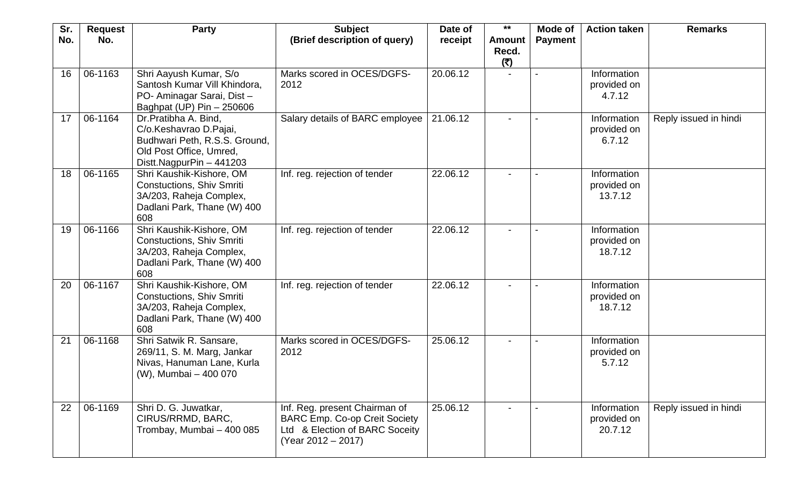| Sr. | <b>Request</b> | <b>Party</b>                                                                                                                           | <b>Subject</b>                                                                                                                  | Date of  | $***$                         | Mode of        | <b>Action taken</b>                   | <b>Remarks</b>        |
|-----|----------------|----------------------------------------------------------------------------------------------------------------------------------------|---------------------------------------------------------------------------------------------------------------------------------|----------|-------------------------------|----------------|---------------------------------------|-----------------------|
| No. | No.            |                                                                                                                                        | (Brief description of query)                                                                                                    | receipt  | <b>Amount</b><br>Recd.<br>(5) | <b>Payment</b> |                                       |                       |
| 16  | 06-1163        | Shri Aayush Kumar, S/o<br>Santosh Kumar Vill Khindora,<br>PO- Aminagar Sarai, Dist-<br>Baghpat (UP) Pin - 250606                       | Marks scored in OCES/DGFS-<br>2012                                                                                              | 20.06.12 |                               |                | Information<br>provided on<br>4.7.12  |                       |
| 17  | 06-1164        | Dr.Pratibha A. Bind,<br>C/o.Keshavrao D.Pajai,<br>Budhwari Peth, R.S.S. Ground,<br>Old Post Office, Umred,<br>Distt.NagpurPin - 441203 | Salary details of BARC employee                                                                                                 | 21.06.12 |                               |                | Information<br>provided on<br>6.7.12  | Reply issued in hindi |
| 18  | 06-1165        | Shri Kaushik-Kishore, OM<br><b>Constuctions, Shiv Smriti</b><br>3A/203, Raheja Complex,<br>Dadlani Park, Thane (W) 400<br>608          | Inf. reg. rejection of tender                                                                                                   | 22.06.12 |                               |                | Information<br>provided on<br>13.7.12 |                       |
| 19  | 06-1166        | Shri Kaushik-Kishore, OM<br><b>Constuctions, Shiv Smriti</b><br>3A/203, Raheja Complex,<br>Dadlani Park, Thane (W) 400<br>608          | Inf. reg. rejection of tender                                                                                                   | 22.06.12 |                               |                | Information<br>provided on<br>18.7.12 |                       |
| 20  | 06-1167        | Shri Kaushik-Kishore, OM<br><b>Constuctions, Shiv Smriti</b><br>3A/203, Raheja Complex,<br>Dadlani Park, Thane (W) 400<br>608          | Inf. reg. rejection of tender                                                                                                   | 22.06.12 |                               |                | Information<br>provided on<br>18.7.12 |                       |
| 21  | 06-1168        | Shri Satwik R. Sansare,<br>269/11, S. M. Marg, Jankar<br>Nivas, Hanuman Lane, Kurla<br>(W), Mumbai - 400 070                           | Marks scored in OCES/DGFS-<br>2012                                                                                              | 25.06.12 | $\overline{\phantom{0}}$      |                | Information<br>provided on<br>5.7.12  |                       |
| 22  | 06-1169        | Shri D. G. Juwatkar,<br>CIRUS/RRMD, BARC,<br>Trombay, Mumbai - 400 085                                                                 | Inf. Reg. present Chairman of<br><b>BARC Emp. Co-op Creit Society</b><br>Ltd & Election of BARC Soceity<br>$(Year 2012 - 2017)$ | 25.06.12 | $\blacksquare$                |                | Information<br>provided on<br>20.7.12 | Reply issued in hindi |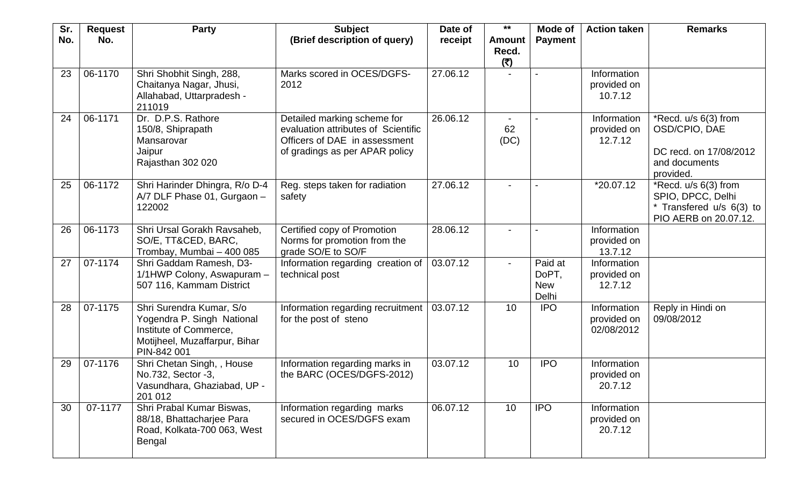| Sr.<br>No. | <b>Request</b><br>No. | <b>Party</b>                                                                                                                     | <b>Subject</b><br>(Brief description of query)                                                                                        | Date of<br>receipt | $***$<br><b>Amount</b> | Mode of<br><b>Payment</b>               | <b>Action taken</b>                      | <b>Remarks</b>                                                                                 |
|------------|-----------------------|----------------------------------------------------------------------------------------------------------------------------------|---------------------------------------------------------------------------------------------------------------------------------------|--------------------|------------------------|-----------------------------------------|------------------------------------------|------------------------------------------------------------------------------------------------|
|            |                       |                                                                                                                                  |                                                                                                                                       |                    | Recd.<br>(5)           |                                         |                                          |                                                                                                |
| 23         | 06-1170               | Shri Shobhit Singh, 288,<br>Chaitanya Nagar, Jhusi,<br>Allahabad, Uttarpradesh -<br>211019                                       | Marks scored in OCES/DGFS-<br>2012                                                                                                    | 27.06.12           |                        |                                         | Information<br>provided on<br>10.7.12    |                                                                                                |
| 24         | 06-1171               | Dr. D.P.S. Rathore<br>150/8, Shiprapath<br>Mansarovar<br>Jaipur<br>Rajasthan 302 020                                             | Detailed marking scheme for<br>evaluation attributes of Scientific<br>Officers of DAE in assessment<br>of gradings as per APAR policy | 26.06.12           | 62<br>(DC)             |                                         | Information<br>provided on<br>12.7.12    | *Recd. u/s 6(3) from<br>OSD/CPIO, DAE<br>DC recd. on 17/08/2012<br>and documents<br>provided.  |
| 25         | 06-1172               | Shri Harinder Dhingra, R/o D-4<br>A/7 DLF Phase 01, Gurgaon -<br>122002                                                          | Reg. steps taken for radiation<br>safety                                                                                              | 27.06.12           |                        |                                         | *20.07.12                                | *Recd. u/s 6(3) from<br>SPIO, DPCC, Delhi<br>* Transfered u/s 6(3) to<br>PIO AERB on 20.07.12. |
| 26         | 06-1173               | Shri Ursal Gorakh Ravsaheb,<br>SO/E, TT&CED, BARC,<br>Trombay, Mumbai - 400 085                                                  | Certified copy of Promotion<br>Norms for promotion from the<br>grade SO/E to SO/F                                                     | 28.06.12           |                        |                                         | Information<br>provided on<br>13.7.12    |                                                                                                |
| 27         | 07-1174               | Shri Gaddam Ramesh, D3-<br>1/1HWP Colony, Aswapuram -<br>507 116, Kammam District                                                | Information regarding creation of<br>technical post                                                                                   | 03.07.12           |                        | Paid at<br>DoPT,<br><b>New</b><br>Delhi | Information<br>provided on<br>12.7.12    |                                                                                                |
| 28         | 07-1175               | Shri Surendra Kumar, S/o<br>Yogendra P. Singh National<br>Institute of Commerce,<br>Motijheel, Muzaffarpur, Bihar<br>PIN-842 001 | Information regarding recruitment<br>for the post of steno                                                                            | 03.07.12           | 10                     | <b>IPO</b>                              | Information<br>provided on<br>02/08/2012 | Reply in Hindi on<br>09/08/2012                                                                |
| 29         | 07-1176               | Shri Chetan Singh, , House<br>No.732, Sector -3,<br>Vasundhara, Ghaziabad, UP -<br>201 012                                       | Information regarding marks in<br>the BARC (OCES/DGFS-2012)                                                                           | 03.07.12           | 10                     | <b>IPO</b>                              | Information<br>provided on<br>20.7.12    |                                                                                                |
| 30         | 07-1177               | Shri Prabal Kumar Biswas,<br>88/18, Bhattacharjee Para<br>Road, Kolkata-700 063, West<br>Bengal                                  | Information regarding marks<br>secured in OCES/DGFS exam                                                                              | 06.07.12           | 10                     | <b>IPO</b>                              | Information<br>provided on<br>20.7.12    |                                                                                                |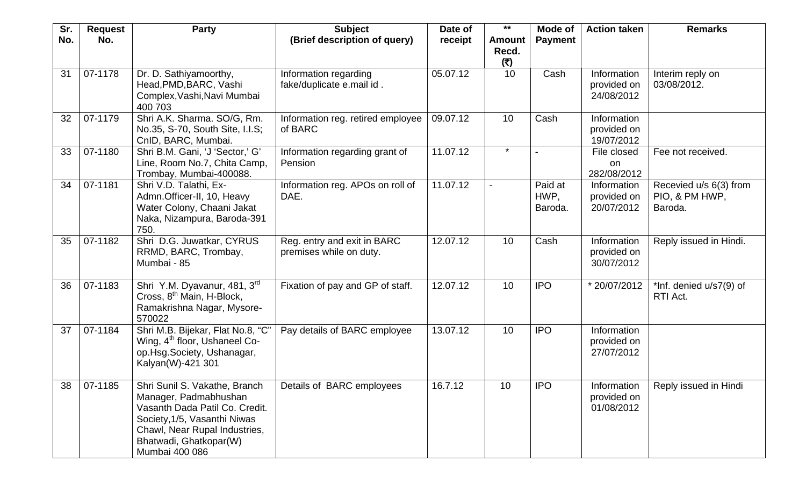| Sr. | <b>Request</b> | <b>Party</b>                                                                                                                                                                                          | <b>Subject</b>                                         | Date of  | $***$                         | Mode of                    | <b>Action taken</b>                      | <b>Remarks</b>                                      |
|-----|----------------|-------------------------------------------------------------------------------------------------------------------------------------------------------------------------------------------------------|--------------------------------------------------------|----------|-------------------------------|----------------------------|------------------------------------------|-----------------------------------------------------|
| No. | No.            |                                                                                                                                                                                                       | (Brief description of query)                           | receipt  | <b>Amount</b><br>Recd.<br>(5) | <b>Payment</b>             |                                          |                                                     |
| 31  | 07-1178        | Dr. D. Sathiyamoorthy,<br>Head, PMD, BARC, Vashi<br>Complex, Vashi, Navi Mumbai<br>400 703                                                                                                            | Information regarding<br>fake/duplicate e.mail id.     | 05.07.12 | 10                            | Cash                       | Information<br>provided on<br>24/08/2012 | Interim reply on<br>03/08/2012.                     |
| 32  | 07-1179        | Shri A.K. Sharma. SO/G, Rm.<br>No.35, S-70, South Site, I.I.S;<br>CnID, BARC, Mumbai.                                                                                                                 | Information reg. retired employee<br>of BARC           | 09.07.12 | 10                            | Cash                       | Information<br>provided on<br>19/07/2012 |                                                     |
| 33  | 07-1180        | Shri B.M. Gani, 'J 'Sector,' G'<br>Line, Room No.7, Chita Camp,<br>Trombay, Mumbai-400088.                                                                                                            | Information regarding grant of<br>Pension              | 11.07.12 | $\star$                       |                            | File closed<br>on<br>282/08/2012         | Fee not received.                                   |
| 34  | 07-1181        | Shri V.D. Talathi, Ex-<br>Admn.Officer-II, 10, Heavy<br>Water Colony, Chaani Jakat<br>Naka, Nizampura, Baroda-391<br>750.                                                                             | Information reg. APOs on roll of<br>DAE.               | 11.07.12 |                               | Paid at<br>HWP,<br>Baroda. | Information<br>provided on<br>20/07/2012 | Recevied u/s 6(3) from<br>PIO, & PM HWP,<br>Baroda. |
| 35  | 07-1182        | Shri D.G. Juwatkar, CYRUS<br>RRMD, BARC, Trombay,<br>Mumbai - 85                                                                                                                                      | Reg. entry and exit in BARC<br>premises while on duty. | 12.07.12 | 10                            | Cash                       | Information<br>provided on<br>30/07/2012 | Reply issued in Hindi.                              |
| 36  | 07-1183        | Shri Y.M. Dyavanur, 481, 3rd<br>Cross, 8 <sup>th</sup> Main, H-Block,<br>Ramakrishna Nagar, Mysore-<br>570022                                                                                         | Fixation of pay and GP of staff.                       | 12.07.12 | 10                            | <b>IPO</b>                 | * 20/07/2012                             | *Inf. denied u/s7(9) of<br>RTI Act.                 |
| 37  | 07-1184        | Shri M.B. Bijekar, Flat No.8, "C"<br>Wing, 4 <sup>th</sup> floor, Ushaneel Co-<br>op.Hsg.Society, Ushanagar,<br>Kalyan(W)-421 301                                                                     | Pay details of BARC employee                           | 13.07.12 | 10                            | <b>IPO</b>                 | Information<br>provided on<br>27/07/2012 |                                                     |
| 38  | 07-1185        | Shri Sunil S. Vakathe, Branch<br>Manager, Padmabhushan<br>Vasanth Dada Patil Co. Credit.<br>Society, 1/5, Vasanthi Niwas<br>Chawl, Near Rupal Industries,<br>Bhatwadi, Ghatkopar(W)<br>Mumbai 400 086 | Details of BARC employees                              | 16.7.12  | 10                            | <b>IPO</b>                 | Information<br>provided on<br>01/08/2012 | Reply issued in Hindi                               |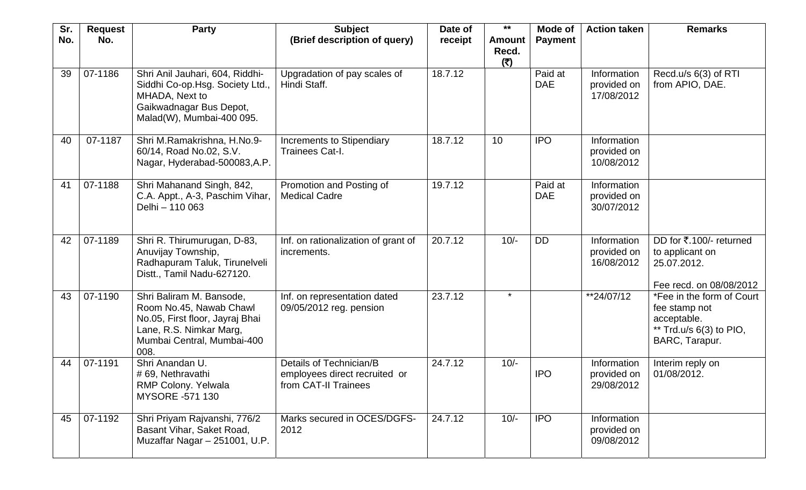| Sr. | <b>Request</b> | <b>Party</b>                                                                                                                                            | <b>Subject</b>                                                                   | Date of | $***$                         | Mode of               | <b>Action taken</b>                      | <b>Remarks</b>                                                                                         |
|-----|----------------|---------------------------------------------------------------------------------------------------------------------------------------------------------|----------------------------------------------------------------------------------|---------|-------------------------------|-----------------------|------------------------------------------|--------------------------------------------------------------------------------------------------------|
| No. | No.            |                                                                                                                                                         | (Brief description of query)                                                     | receipt | <b>Amount</b><br>Recd.<br>(5) | <b>Payment</b>        |                                          |                                                                                                        |
| 39  | 07-1186        | Shri Anil Jauhari, 604, Riddhi-<br>Siddhi Co-op.Hsg. Society Ltd.,<br>MHADA, Next to<br>Gaikwadnagar Bus Depot,<br>Malad(W), Mumbai-400 095.            | Upgradation of pay scales of<br>Hindi Staff.                                     | 18.7.12 |                               | Paid at<br><b>DAE</b> | Information<br>provided on<br>17/08/2012 | Recd.u/s 6(3) of RTI<br>from APIO, DAE.                                                                |
| 40  | 07-1187        | Shri M.Ramakrishna, H.No.9-<br>60/14, Road No.02, S.V.<br>Nagar, Hyderabad-500083, A.P.                                                                 | <b>Increments to Stipendiary</b><br>Trainees Cat-I.                              | 18.7.12 | 10                            | <b>IPO</b>            | Information<br>provided on<br>10/08/2012 |                                                                                                        |
| 41  | 07-1188        | Shri Mahanand Singh, 842,<br>C.A. Appt., A-3, Paschim Vihar,<br>Delhi - 110 063                                                                         | Promotion and Posting of<br><b>Medical Cadre</b>                                 | 19.7.12 |                               | Paid at<br><b>DAE</b> | Information<br>provided on<br>30/07/2012 |                                                                                                        |
| 42  | 07-1189        | Shri R. Thirumurugan, D-83,<br>Anuvijay Township,<br>Radhapuram Taluk, Tirunelveli<br>Distt., Tamil Nadu-627120.                                        | Inf. on rationalization of grant of<br>increments.                               | 20.7.12 | $10/-$                        | <b>DD</b>             | Information<br>provided on<br>16/08/2012 | DD for ₹.100/- returned<br>to applicant on<br>25.07.2012.<br>Fee recd. on 08/08/2012                   |
| 43  | 07-1190        | Shri Baliram M. Bansode,<br>Room No.45, Nawab Chawl<br>No.05, First floor, Jayraj Bhai<br>Lane, R.S. Nimkar Marg,<br>Mumbai Central, Mumbai-400<br>008. | Inf. on representation dated<br>09/05/2012 reg. pension                          | 23.7.12 | $\star$                       |                       | **24/07/12                               | *Fee in the form of Court<br>fee stamp not<br>acceptable.<br>** Trd.u/s 6(3) to PIO,<br>BARC, Tarapur. |
| 44  | 07-1191        | Shri Anandan U.<br># 69, Nethravathi<br>RMP Colony. Yelwala<br><b>MYSORE -571 130</b>                                                                   | Details of Technician/B<br>employees direct recruited or<br>from CAT-II Trainees | 24.7.12 | $10/-$                        | <b>IPO</b>            | Information<br>provided on<br>29/08/2012 | Interim reply on<br>01/08/2012.                                                                        |
| 45  | 07-1192        | Shri Priyam Rajvanshi, 776/2<br>Basant Vihar, Saket Road,<br>Muzaffar Nagar - 251001, U.P.                                                              | Marks secured in OCES/DGFS-<br>2012                                              | 24.7.12 | $10/-$                        | <b>IPO</b>            | Information<br>provided on<br>09/08/2012 |                                                                                                        |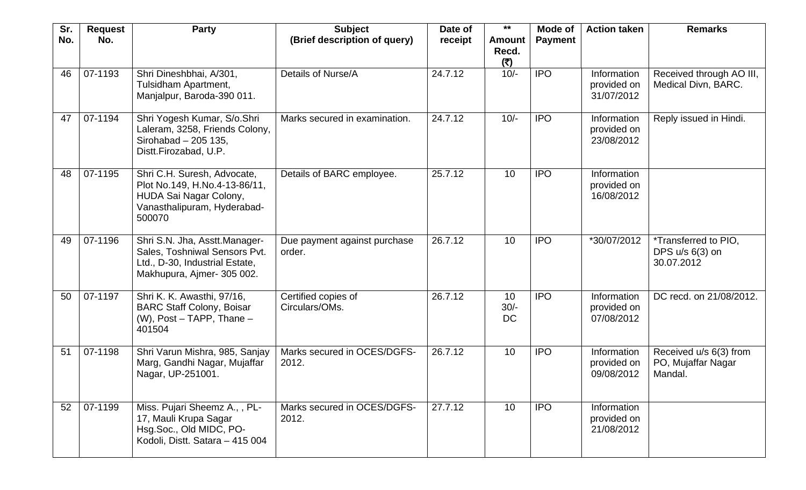| Sr. | <b>Request</b> | <b>Party</b>                                                                                                                    | <b>Subject</b>                         | Date of | $***$                         | Mode of        | <b>Action taken</b>                      | <b>Remarks</b>                                                 |
|-----|----------------|---------------------------------------------------------------------------------------------------------------------------------|----------------------------------------|---------|-------------------------------|----------------|------------------------------------------|----------------------------------------------------------------|
| No. | No.            |                                                                                                                                 | (Brief description of query)           | receipt | <b>Amount</b><br>Recd.<br>(5) | <b>Payment</b> |                                          |                                                                |
| 46  | 07-1193        | Shri Dineshbhai, A/301,<br>Tulsidham Apartment,<br>Manjalpur, Baroda-390 011.                                                   | Details of Nurse/A                     | 24.7.12 | $10/-$                        | <b>IPO</b>     | Information<br>provided on<br>31/07/2012 | Received through AO III,<br>Medical Divn, BARC.                |
| 47  | 07-1194        | Shri Yogesh Kumar, S/o.Shri<br>Laleram, 3258, Friends Colony,<br>Sirohabad - 205 135,<br>Distt.Firozabad, U.P.                  | Marks secured in examination.          | 24.7.12 | $10/-$                        | <b>IPO</b>     | Information<br>provided on<br>23/08/2012 | Reply issued in Hindi.                                         |
| 48  | 07-1195        | Shri C.H. Suresh, Advocate,<br>Plot No.149, H.No.4-13-86/11,<br>HUDA Sai Nagar Colony,<br>Vanasthalipuram, Hyderabad-<br>500070 | Details of BARC employee.              | 25.7.12 | 10                            | <b>IPO</b>     | Information<br>provided on<br>16/08/2012 |                                                                |
| 49  | 07-1196        | Shri S.N. Jha, Asstt.Manager-<br>Sales, Toshniwal Sensors Pvt.<br>Ltd., D-30, Industrial Estate,<br>Makhupura, Ajmer- 305 002.  | Due payment against purchase<br>order. | 26.7.12 | 10                            | <b>IPO</b>     | *30/07/2012                              | <i>*Transferred to PIO,</i><br>DPS $u/s$ 6(3) on<br>30.07.2012 |
| 50  | 07-1197        | Shri K. K. Awasthi, 97/16,<br><b>BARC Staff Colony, Boisar</b><br>$(W)$ , Post – TAPP, Thane –<br>401504                        | Certified copies of<br>Circulars/OMs.  | 26.7.12 | 10<br>$30/-$<br><b>DC</b>     | <b>IPO</b>     | Information<br>provided on<br>07/08/2012 | DC recd. on 21/08/2012.                                        |
| 51  | 07-1198        | Shri Varun Mishra, 985, Sanjay<br>Marg, Gandhi Nagar, Mujaffar<br>Nagar, UP-251001.                                             | Marks secured in OCES/DGFS-<br>2012.   | 26.7.12 | 10                            | <b>IPO</b>     | Information<br>provided on<br>09/08/2012 | Received u/s 6(3) from<br>PO, Mujaffar Nagar<br>Mandal.        |
| 52  | 07-1199        | Miss. Pujari Sheemz A., , PL-<br>17, Mauli Krupa Sagar<br>Hsg.Soc., Old MIDC, PO-<br>Kodoli, Distt. Satara - 415 004            | Marks secured in OCES/DGFS-<br>2012.   | 27.7.12 | 10                            | <b>IPO</b>     | Information<br>provided on<br>21/08/2012 |                                                                |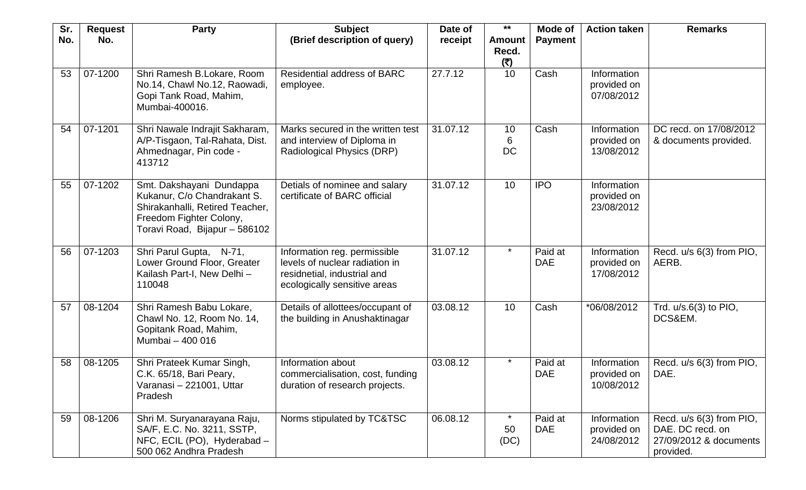| Sr.<br>No. | <b>Request</b><br>No. | <b>Party</b>                                                                                                                                           | <b>Subject</b><br>(Brief description of query)                                                                                | Date of<br>receipt | $***$<br><b>Amount</b> | Mode of<br><b>Payment</b> | <b>Action taken</b>                      | <b>Remarks</b>                                                                      |
|------------|-----------------------|--------------------------------------------------------------------------------------------------------------------------------------------------------|-------------------------------------------------------------------------------------------------------------------------------|--------------------|------------------------|---------------------------|------------------------------------------|-------------------------------------------------------------------------------------|
|            |                       |                                                                                                                                                        |                                                                                                                               |                    | Recd.<br>(5)           |                           |                                          |                                                                                     |
| 53         | 07-1200               | Shri Ramesh B.Lokare, Room<br>No.14, Chawl No.12, Raowadi,<br>Gopi Tank Road, Mahim,<br>Mumbai-400016.                                                 | <b>Residential address of BARC</b><br>employee.                                                                               | 27.7.12            | 10                     | Cash                      | Information<br>provided on<br>07/08/2012 |                                                                                     |
| 54         | 07-1201               | Shri Nawale Indrajit Sakharam,<br>A/P-Tisgaon, Tal-Rahata, Dist.<br>Ahmednagar, Pin code -<br>413712                                                   | Marks secured in the written test<br>and interview of Diploma in<br>Radiological Physics (DRP)                                | 31.07.12           | 10<br>6<br><b>DC</b>   | Cash                      | Information<br>provided on<br>13/08/2012 | DC recd. on 17/08/2012<br>& documents provided.                                     |
| 55         | 07-1202               | Smt. Dakshayani Dundappa<br>Kukanur, C/o Chandrakant S.<br>Shirakanhalli, Retired Teacher,<br>Freedom Fighter Colony,<br>Toravi Road, Bijapur - 586102 | Detials of nominee and salary<br>certificate of BARC official                                                                 | 31.07.12           | 10                     | <b>IPO</b>                | Information<br>provided on<br>23/08/2012 |                                                                                     |
| 56         | 07-1203               | Shri Parul Gupta, N-71,<br>Lower Ground Floor, Greater<br>Kailash Part-I, New Delhi-<br>110048                                                         | Information reg. permissible<br>levels of nuclear radiation in<br>residnetial, industrial and<br>ecologically sensitive areas | 31.07.12           | $\star$                | Paid at<br><b>DAE</b>     | Information<br>provided on<br>17/08/2012 | Recd. u/s 6(3) from PIO,<br>AERB.                                                   |
| 57         | 08-1204               | Shri Ramesh Babu Lokare,<br>Chawl No. 12, Room No. 14,<br>Gopitank Road, Mahim,<br>Mumbai - 400 016                                                    | Details of allottees/occupant of<br>the building in Anushaktinagar                                                            | 03.08.12           | 10                     | Cash                      | *06/08/2012                              | Trd. $u/s.6(3)$ to PIO,<br>DCS&EM.                                                  |
| 58         | 08-1205               | Shri Prateek Kumar Singh,<br>C.K. 65/18, Bari Peary,<br>Varanasi - 221001, Uttar<br>Pradesh                                                            | Information about<br>commercialisation, cost, funding<br>duration of research projects.                                       | 03.08.12           | $\star$                | Paid at<br><b>DAE</b>     | Information<br>provided on<br>10/08/2012 | Recd. u/s 6(3) from PIO,<br>DAE.                                                    |
| 59         | 08-1206               | Shri M. Suryanarayana Raju,<br>SA/F, E.C. No. 3211, SSTP,<br>NFC, ECIL (PO), Hyderabad -<br>500 062 Andhra Pradesh                                     | Norms stipulated by TC&TSC                                                                                                    | 06.08.12           | 50<br>(DC)             | Paid at<br><b>DAE</b>     | Information<br>provided on<br>24/08/2012 | Recd. u/s 6(3) from PIO,<br>DAE. DC recd. on<br>27/09/2012 & documents<br>provided. |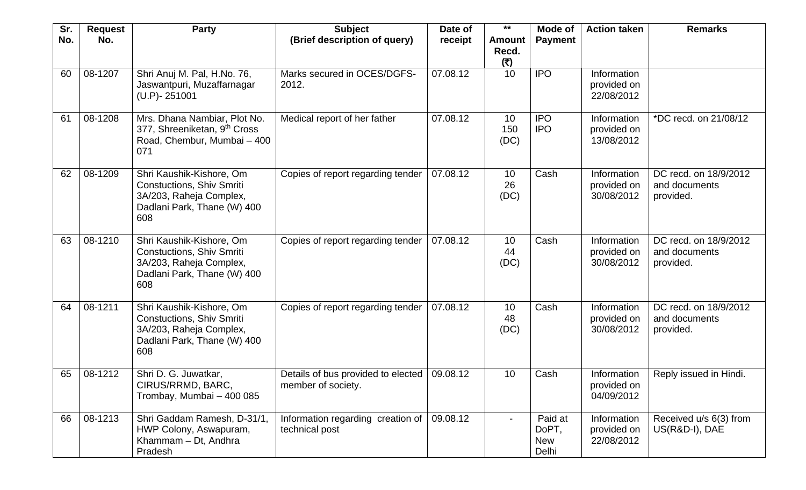| Sr. | <b>Request</b> | <b>Party</b>                                                                                                                  | <b>Subject</b>                                           | Date of  | $***$                         | Mode of                                 | <b>Action taken</b>                      | <b>Remarks</b>                                      |
|-----|----------------|-------------------------------------------------------------------------------------------------------------------------------|----------------------------------------------------------|----------|-------------------------------|-----------------------------------------|------------------------------------------|-----------------------------------------------------|
| No. | No.            |                                                                                                                               | (Brief description of query)                             | receipt  | <b>Amount</b><br>Recd.<br>(5) | <b>Payment</b>                          |                                          |                                                     |
| 60  | 08-1207        | Shri Anuj M. Pal, H.No. 76,<br>Jaswantpuri, Muzaffarnagar<br>$(U.P) - 251001$                                                 | Marks secured in OCES/DGFS-<br>2012.                     | 07.08.12 | 10                            | <b>IPO</b>                              | Information<br>provided on<br>22/08/2012 |                                                     |
| 61  | 08-1208        | Mrs. Dhana Nambiar, Plot No.<br>377, Shreeniketan, 9 <sup>th</sup> Cross<br>Road, Chembur, Mumbai - 400<br>071                | Medical report of her father                             | 07.08.12 | 10<br>150<br>(DC)             | <b>IPO</b><br><b>IPO</b>                | Information<br>provided on<br>13/08/2012 | *DC recd. on 21/08/12                               |
| 62  | 08-1209        | Shri Kaushik-Kishore, Om<br>Constuctions, Shiv Smriti<br>3A/203, Raheja Complex,<br>Dadlani Park, Thane (W) 400<br>608        | Copies of report regarding tender                        | 07.08.12 | 10<br>26<br>(DC)              | Cash                                    | Information<br>provided on<br>30/08/2012 | DC recd. on 18/9/2012<br>and documents<br>provided. |
| 63  | 08-1210        | Shri Kaushik-Kishore, Om<br><b>Constuctions, Shiv Smriti</b><br>3A/203, Raheja Complex,<br>Dadlani Park, Thane (W) 400<br>608 | Copies of report regarding tender                        | 07.08.12 | 10<br>44<br>(DC)              | Cash                                    | Information<br>provided on<br>30/08/2012 | DC recd. on 18/9/2012<br>and documents<br>provided. |
| 64  | 08-1211        | Shri Kaushik-Kishore, Om<br><b>Constuctions, Shiv Smriti</b><br>3A/203, Raheja Complex,<br>Dadlani Park, Thane (W) 400<br>608 | Copies of report regarding tender                        | 07.08.12 | 10<br>48<br>(DC)              | Cash                                    | Information<br>provided on<br>30/08/2012 | DC recd. on 18/9/2012<br>and documents<br>provided. |
| 65  | 08-1212        | Shri D. G. Juwatkar,<br>CIRUS/RRMD, BARC,<br>Trombay, Mumbai - 400 085                                                        | Details of bus provided to elected<br>member of society. | 09.08.12 | 10                            | Cash                                    | Information<br>provided on<br>04/09/2012 | Reply issued in Hindi.                              |
| 66  | 08-1213        | Shri Gaddam Ramesh, D-31/1,<br>HWP Colony, Aswapuram,<br>Khammam - Dt, Andhra<br>Pradesh                                      | Information regarding creation of<br>technical post      | 09.08.12 |                               | Paid at<br>DoPT,<br><b>New</b><br>Delhi | Information<br>provided on<br>22/08/2012 | Received u/s 6(3) from<br>US(R&D-I), DAE            |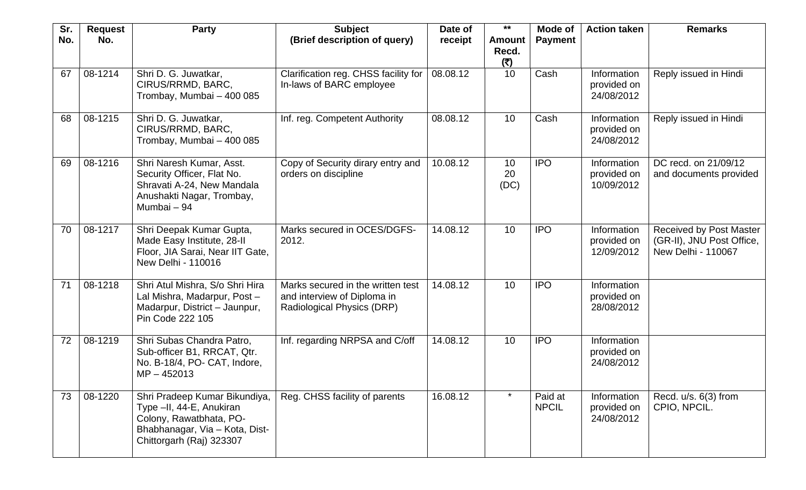| Sr. | <b>Request</b> | <b>Party</b>                                                                                                                                       | <b>Subject</b>                                                                                 | Date of  | $***$                         | Mode of                 | <b>Action taken</b>                      | <b>Remarks</b>                                                             |
|-----|----------------|----------------------------------------------------------------------------------------------------------------------------------------------------|------------------------------------------------------------------------------------------------|----------|-------------------------------|-------------------------|------------------------------------------|----------------------------------------------------------------------------|
| No. | No.            |                                                                                                                                                    | (Brief description of query)                                                                   | receipt  | <b>Amount</b><br>Recd.<br>(5) | <b>Payment</b>          |                                          |                                                                            |
| 67  | 08-1214        | Shri D. G. Juwatkar,<br>CIRUS/RRMD, BARC,<br>Trombay, Mumbai - 400 085                                                                             | Clarification reg. CHSS facility for<br>In-laws of BARC employee                               | 08.08.12 | 10                            | Cash                    | Information<br>provided on<br>24/08/2012 | Reply issued in Hindi                                                      |
| 68  | 08-1215        | Shri D. G. Juwatkar,<br>CIRUS/RRMD, BARC,<br>Trombay, Mumbai - 400 085                                                                             | Inf. reg. Competent Authority                                                                  | 08.08.12 | 10                            | Cash                    | Information<br>provided on<br>24/08/2012 | Reply issued in Hindi                                                      |
| 69  | 08-1216        | Shri Naresh Kumar, Asst.<br>Security Officer, Flat No.<br>Shravati A-24, New Mandala<br>Anushakti Nagar, Trombay,<br>Mumbai - 94                   | Copy of Security dirary entry and<br>orders on discipline                                      | 10.08.12 | 10<br>20<br>(DC)              | <b>IPO</b>              | Information<br>provided on<br>10/09/2012 | DC recd. on 21/09/12<br>and documents provided                             |
| 70  | 08-1217        | Shri Deepak Kumar Gupta,<br>Made Easy Institute, 28-II<br>Floor, JIA Sarai, Near IIT Gate,<br>New Delhi - 110016                                   | Marks secured in OCES/DGFS-<br>2012.                                                           | 14.08.12 | 10                            | <b>IPO</b>              | Information<br>provided on<br>12/09/2012 | Received by Post Master<br>(GR-II), JNU Post Office,<br>New Delhi - 110067 |
| 71  | 08-1218        | Shri Atul Mishra, S/o Shri Hira<br>Lal Mishra, Madarpur, Post-<br>Madarpur, District - Jaunpur,<br>Pin Code 222 105                                | Marks secured in the written test<br>and interview of Diploma in<br>Radiological Physics (DRP) | 14.08.12 | 10                            | <b>IPO</b>              | Information<br>provided on<br>28/08/2012 |                                                                            |
| 72  | 08-1219        | Shri Subas Chandra Patro,<br>Sub-officer B1, RRCAT, Qtr.<br>No. B-18/4, PO- CAT, Indore,<br>$MP - 452013$                                          | Inf. regarding NRPSA and C/off                                                                 | 14.08.12 | 10                            | <b>IPO</b>              | Information<br>provided on<br>24/08/2012 |                                                                            |
| 73  | 08-1220        | Shri Pradeep Kumar Bikundiya,<br>Type -II, 44-E, Anukiran<br>Colony, Rawatbhata, PO-<br>Bhabhanagar, Via - Kota, Dist-<br>Chittorgarh (Raj) 323307 | Reg. CHSS facility of parents                                                                  | 16.08.12 | $\star$                       | Paid at<br><b>NPCIL</b> | Information<br>provided on<br>24/08/2012 | Recd. $u/s. 6(3)$ from<br>CPIO, NPCIL.                                     |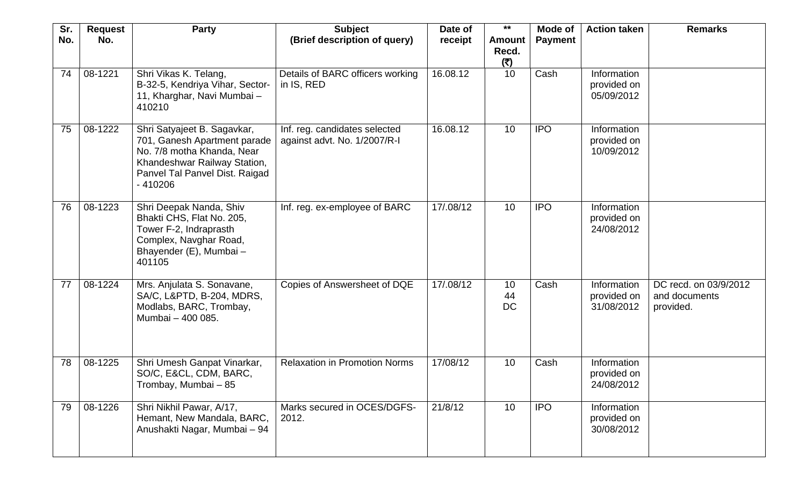| Sr. | <b>Request</b> | <b>Party</b>                                                                                                                                                             | <b>Subject</b>                                                | Date of   | $***$                         | Mode of        | <b>Action taken</b>                      | <b>Remarks</b>                                      |
|-----|----------------|--------------------------------------------------------------------------------------------------------------------------------------------------------------------------|---------------------------------------------------------------|-----------|-------------------------------|----------------|------------------------------------------|-----------------------------------------------------|
| No. | No.            |                                                                                                                                                                          | (Brief description of query)                                  | receipt   | <b>Amount</b><br>Recd.<br>(5) | <b>Payment</b> |                                          |                                                     |
| 74  | 08-1221        | Shri Vikas K. Telang,<br>B-32-5, Kendriya Vihar, Sector-<br>11, Kharghar, Navi Mumbai -<br>410210                                                                        | Details of BARC officers working<br>in IS, RED                | 16.08.12  | 10                            | Cash           | Information<br>provided on<br>05/09/2012 |                                                     |
| 75  | 08-1222        | Shri Satyajeet B. Sagavkar,<br>701, Ganesh Apartment parade<br>No. 7/8 motha Khanda, Near<br>Khandeshwar Railway Station,<br>Panvel Tal Panvel Dist. Raigad<br>$-410206$ | Inf. reg. candidates selected<br>against advt. No. 1/2007/R-I | 16.08.12  | 10                            | <b>IPO</b>     | Information<br>provided on<br>10/09/2012 |                                                     |
| 76  | 08-1223        | Shri Deepak Nanda, Shiv<br>Bhakti CHS, Flat No. 205,<br>Tower F-2, Indraprasth<br>Complex, Navghar Road,<br>Bhayender (E), Mumbai -<br>401105                            | Inf. reg. ex-employee of BARC                                 | 17/.08/12 | 10                            | <b>IPO</b>     | Information<br>provided on<br>24/08/2012 |                                                     |
| 77  | 08-1224        | Mrs. Anjulata S. Sonavane,<br>SA/C, L&PTD, B-204, MDRS,<br>Modlabs, BARC, Trombay,<br>Mumbai - 400 085.                                                                  | Copies of Answersheet of DQE                                  | 17/.08/12 | 10<br>44<br>DC                | Cash           | Information<br>provided on<br>31/08/2012 | DC recd. on 03/9/2012<br>and documents<br>provided. |
| 78  | 08-1225        | Shri Umesh Ganpat Vinarkar,<br>SO/C, E&CL, CDM, BARC,<br>Trombay, Mumbai – 85                                                                                            | <b>Relaxation in Promotion Norms</b>                          | 17/08/12  | 10                            | Cash           | Information<br>provided on<br>24/08/2012 |                                                     |
| 79  | 08-1226        | Shri Nikhil Pawar, A/17,<br>Hemant, New Mandala, BARC,<br>Anushakti Nagar, Mumbai - 94                                                                                   | Marks secured in OCES/DGFS-<br>2012.                          | 21/8/12   | 10                            | <b>IPO</b>     | Information<br>provided on<br>30/08/2012 |                                                     |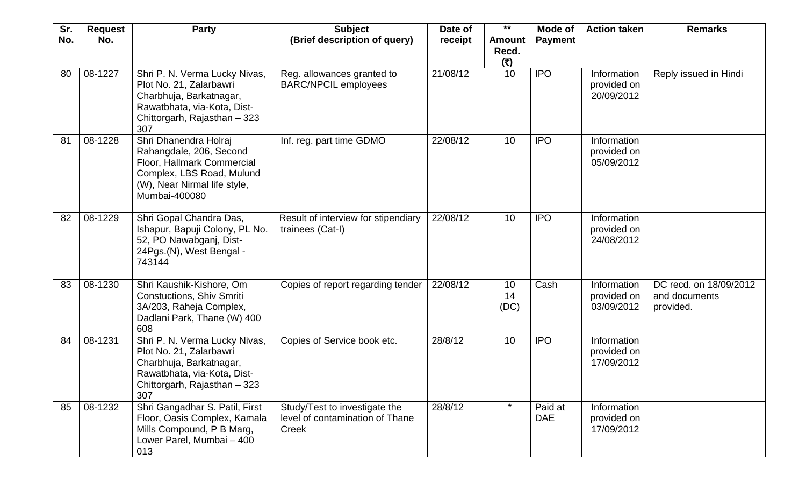| Sr. | <b>Request</b> | <b>Party</b>                                                                                                                                                 | <b>Subject</b>                                                            | Date of  | $***$                         | Mode of               | <b>Action taken</b>                      | <b>Remarks</b>                                       |
|-----|----------------|--------------------------------------------------------------------------------------------------------------------------------------------------------------|---------------------------------------------------------------------------|----------|-------------------------------|-----------------------|------------------------------------------|------------------------------------------------------|
| No. | No.            |                                                                                                                                                              | (Brief description of query)                                              | receipt  | <b>Amount</b><br>Recd.<br>(5) | <b>Payment</b>        |                                          |                                                      |
| 80  | 08-1227        | Shri P. N. Verma Lucky Nivas,<br>Plot No. 21, Zalarbawri<br>Charbhuja, Barkatnagar,<br>Rawatbhata, via-Kota, Dist-<br>Chittorgarh, Rajasthan - 323<br>307    | Reg. allowances granted to<br><b>BARC/NPCIL employees</b>                 | 21/08/12 | 10                            | <b>IPO</b>            | Information<br>provided on<br>20/09/2012 | Reply issued in Hindi                                |
| 81  | 08-1228        | Shri Dhanendra Holraj<br>Rahangdale, 206, Second<br>Floor, Hallmark Commercial<br>Complex, LBS Road, Mulund<br>(W), Near Nirmal life style,<br>Mumbai-400080 | Inf. reg. part time GDMO                                                  | 22/08/12 | 10                            | <b>IPO</b>            | Information<br>provided on<br>05/09/2012 |                                                      |
| 82  | 08-1229        | Shri Gopal Chandra Das,<br>Ishapur, Bapuji Colony, PL No.<br>52, PO Nawabganj, Dist-<br>24Pgs.(N), West Bengal -<br>743144                                   | Result of interview for stipendiary<br>trainees (Cat-I)                   | 22/08/12 | 10                            | <b>IPO</b>            | Information<br>provided on<br>24/08/2012 |                                                      |
| 83  | 08-1230        | Shri Kaushik-Kishore, Om<br><b>Constuctions, Shiv Smriti</b><br>3A/203, Raheja Complex,<br>Dadlani Park, Thane (W) 400<br>608                                | Copies of report regarding tender                                         | 22/08/12 | 10<br>14<br>(DC)              | Cash                  | Information<br>provided on<br>03/09/2012 | DC recd. on 18/09/2012<br>and documents<br>provided. |
| 84  | 08-1231        | Shri P. N. Verma Lucky Nivas,<br>Plot No. 21, Zalarbawri<br>Charbhuja, Barkatnagar,<br>Rawatbhata, via-Kota, Dist-<br>Chittorgarh, Rajasthan - 323<br>307    | Copies of Service book etc.                                               | 28/8/12  | 10                            | <b>IPO</b>            | Information<br>provided on<br>17/09/2012 |                                                      |
| 85  | 08-1232        | Shri Gangadhar S. Patil, First<br>Floor, Oasis Complex, Kamala<br>Mills Compound, P B Marg,<br>Lower Parel, Mumbai - 400<br>013                              | Study/Test to investigate the<br>level of contamination of Thane<br>Creek | 28/8/12  | $\star$                       | Paid at<br><b>DAE</b> | Information<br>provided on<br>17/09/2012 |                                                      |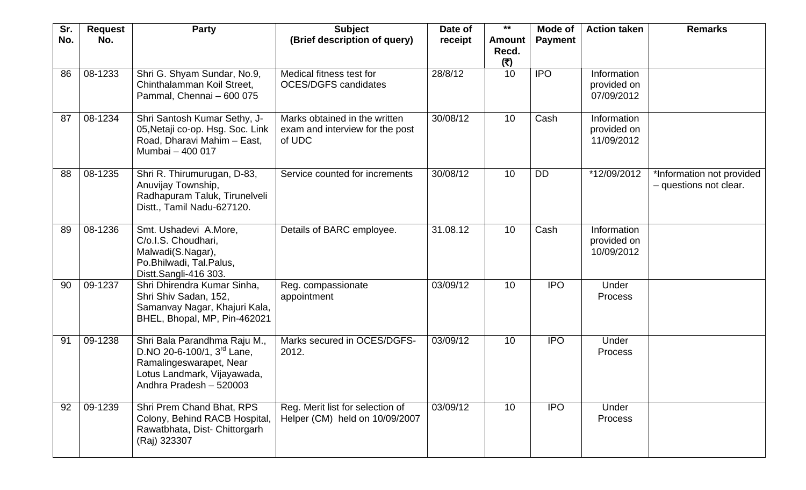| Sr.<br>No. | <b>Request</b><br>No. | <b>Party</b>                                                                                                                                    | <b>Subject</b><br>(Brief description of query)                             | Date of<br>receipt | $***$<br><b>Amount</b><br>Recd. | Mode of<br><b>Payment</b> | <b>Action taken</b>                      | <b>Remarks</b>                                      |
|------------|-----------------------|-------------------------------------------------------------------------------------------------------------------------------------------------|----------------------------------------------------------------------------|--------------------|---------------------------------|---------------------------|------------------------------------------|-----------------------------------------------------|
|            |                       |                                                                                                                                                 |                                                                            |                    | (5)                             |                           |                                          |                                                     |
| 86         | 08-1233               | Shri G. Shyam Sundar, No.9,<br>Chinthalamman Koil Street,<br>Pammal, Chennai - 600 075                                                          | Medical fitness test for<br><b>OCES/DGFS candidates</b>                    | 28/8/12            | 10                              | <b>IPO</b>                | Information<br>provided on<br>07/09/2012 |                                                     |
| 87         | 08-1234               | Shri Santosh Kumar Sethy, J-<br>05, Netaji co-op. Hsg. Soc. Link<br>Road, Dharavi Mahim - East,<br>Mumbai - 400 017                             | Marks obtained in the written<br>exam and interview for the post<br>of UDC | 30/08/12           | 10                              | Cash                      | Information<br>provided on<br>11/09/2012 |                                                     |
| 88         | 08-1235               | Shri R. Thirumurugan, D-83,<br>Anuvijay Township,<br>Radhapuram Taluk, Tirunelveli<br>Distt., Tamil Nadu-627120.                                | Service counted for increments                                             | 30/08/12           | 10                              | DD                        | *12/09/2012                              | *Information not provided<br>- questions not clear. |
| 89         | 08-1236               | Smt. Ushadevi A.More,<br>C/o.I.S. Choudhari,<br>Malwadi(S.Nagar),<br>Po.Bhilwadi, Tal.Palus,<br>Distt.Sangli-416 303.                           | Details of BARC employee.                                                  | 31.08.12           | 10                              | Cash                      | Information<br>provided on<br>10/09/2012 |                                                     |
| 90         | 09-1237               | Shri Dhirendra Kumar Sinha,<br>Shri Shiv Sadan, 152,<br>Samanvay Nagar, Khajuri Kala,<br>BHEL, Bhopal, MP, Pin-462021                           | Reg. compassionate<br>appointment                                          | 03/09/12           | 10                              | <b>IPO</b>                | Under<br>Process                         |                                                     |
| 91         | 09-1238               | Shri Bala Parandhma Raju M.,<br>D.NO 20-6-100/1, 3rd Lane,<br>Ramalingeswarapet, Near<br>Lotus Landmark, Vijayawada,<br>Andhra Pradesh - 520003 | Marks secured in OCES/DGFS-<br>2012.                                       | 03/09/12           | 10                              | <b>IPO</b>                | Under<br>Process                         |                                                     |
| 92         | 09-1239               | Shri Prem Chand Bhat, RPS<br>Colony, Behind RACB Hospital,<br>Rawatbhata, Dist- Chittorgarh<br>(Raj) 323307                                     | Reg. Merit list for selection of<br>Helper (CM) held on 10/09/2007         | 03/09/12           | 10 <sup>°</sup>                 | <b>IPO</b>                | Under<br>Process                         |                                                     |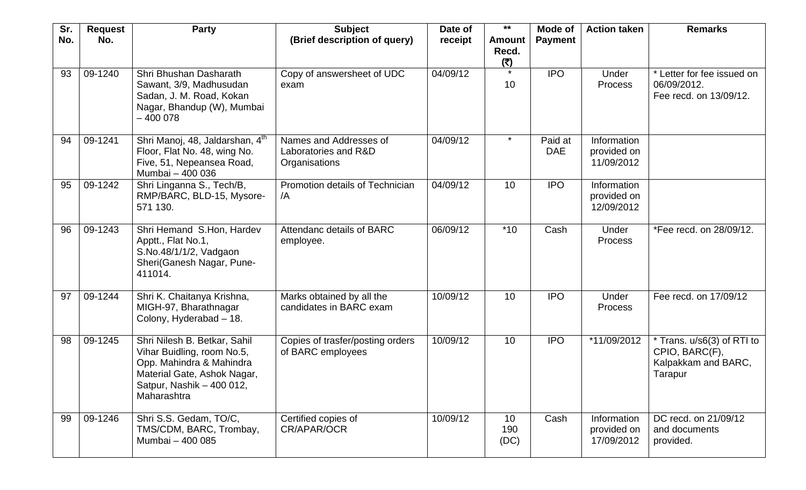| Sr. | <b>Request</b> | <b>Party</b>                                                                                                                                                      | <b>Subject</b>                                                  | Date of  | $***$                          | Mode of               | <b>Action taken</b>                      | <b>Remarks</b>                                                                 |
|-----|----------------|-------------------------------------------------------------------------------------------------------------------------------------------------------------------|-----------------------------------------------------------------|----------|--------------------------------|-----------------------|------------------------------------------|--------------------------------------------------------------------------------|
| No. | No.            |                                                                                                                                                                   | (Brief description of query)                                    | receipt  | <b>Amount</b><br>Recd.<br>(₹)  | <b>Payment</b>        |                                          |                                                                                |
| 93  | 09-1240        | Shri Bhushan Dasharath<br>Sawant, 3/9, Madhusudan<br>Sadan, J. M. Road, Kokan<br>Nagar, Bhandup (W), Mumbai<br>$-400078$                                          | Copy of answersheet of UDC<br>exam                              | 04/09/12 | 10                             | <b>IPO</b>            | Under<br>Process                         | * Letter for fee issued on<br>06/09/2012.<br>Fee recd. on 13/09/12.            |
| 94  | 09-1241        | Shri Manoj, 48, Jaldarshan, 4th<br>Floor, Flat No. 48, wing No.<br>Five, 51, Nepeansea Road,<br>Mumbai - 400 036                                                  | Names and Addresses of<br>Laboratories and R&D<br>Organisations | 04/09/12 | $\star$                        | Paid at<br><b>DAE</b> | Information<br>provided on<br>11/09/2012 |                                                                                |
| 95  | 09-1242        | Shri Linganna S., Tech/B,<br>RMP/BARC, BLD-15, Mysore-<br>571 130.                                                                                                | Promotion details of Technician<br>/A                           | 04/09/12 | 10                             | <b>IPO</b>            | Information<br>provided on<br>12/09/2012 |                                                                                |
| 96  | 09-1243        | Shri Hemand S.Hon, Hardev<br>Apptt., Flat No.1,<br>S.No.48/1/1/2, Vadgaon<br>Sheri(Ganesh Nagar, Pune-<br>411014.                                                 | Attendanc details of BARC<br>employee.                          | 06/09/12 | $*10$                          | Cash                  | Under<br>Process                         | *Fee recd. on 28/09/12.                                                        |
| 97  | 09-1244        | Shri K. Chaitanya Krishna,<br>MIGH-97, Bharathnagar<br>Colony, Hyderabad - 18.                                                                                    | Marks obtained by all the<br>candidates in BARC exam            | 10/09/12 | 10                             | <b>IPO</b>            | Under<br><b>Process</b>                  | Fee recd. on 17/09/12                                                          |
| 98  | 09-1245        | Shri Nilesh B. Betkar, Sahil<br>Vihar Buidling, room No.5,<br>Opp. Mahindra & Mahindra<br>Material Gate, Ashok Nagar,<br>Satpur, Nashik - 400 012,<br>Maharashtra | Copies of trasfer/posting orders<br>of BARC employees           | 10/09/12 | 10                             | <b>IPO</b>            | *11/09/2012                              | * Trans. u/s6(3) of RTI to<br>CPIO, BARC(F),<br>Kalpakkam and BARC,<br>Tarapur |
| 99  | 09-1246        | Shri S.S. Gedam, TO/C,<br>TMS/CDM, BARC, Trombay,<br>Mumbai - 400 085                                                                                             | Certified copies of<br>CR/APAR/OCR                              | 10/09/12 | 10 <sup>°</sup><br>190<br>(DC) | Cash                  | Information<br>provided on<br>17/09/2012 | DC recd. on 21/09/12<br>and documents<br>provided.                             |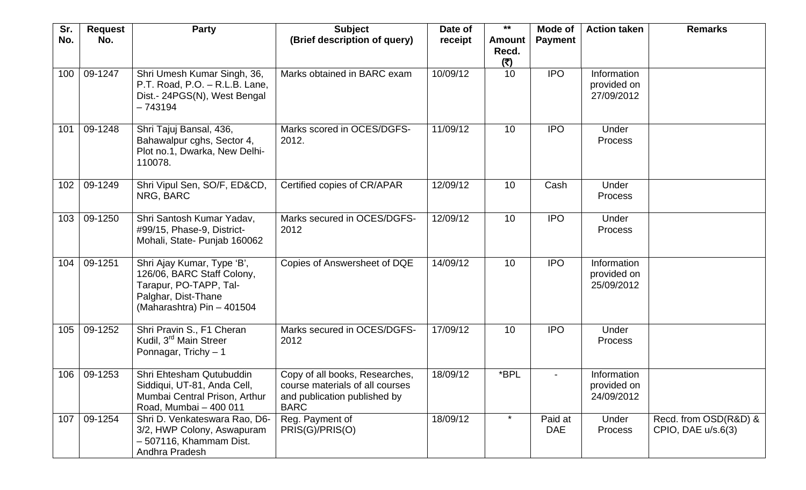| Sr.<br>No. | <b>Request</b><br>No. | <b>Party</b>                                                                                                                            | <b>Subject</b><br>(Brief description of query)                                                                   | Date of<br>receipt | $***$<br><b>Amount</b> | Mode of<br><b>Payment</b> | <b>Action taken</b>                      | <b>Remarks</b>                                |
|------------|-----------------------|-----------------------------------------------------------------------------------------------------------------------------------------|------------------------------------------------------------------------------------------------------------------|--------------------|------------------------|---------------------------|------------------------------------------|-----------------------------------------------|
|            |                       |                                                                                                                                         |                                                                                                                  |                    | Recd.<br>(5)           |                           |                                          |                                               |
| 100        | 09-1247               | Shri Umesh Kumar Singh, 36,<br>P.T. Road, P.O. - R.L.B. Lane,<br>Dist.- 24PGS(N), West Bengal<br>$-743194$                              | Marks obtained in BARC exam                                                                                      | 10/09/12           | 10                     | <b>IPO</b>                | Information<br>provided on<br>27/09/2012 |                                               |
| 101        | 09-1248               | Shri Tajuj Bansal, 436,<br>Bahawalpur cghs, Sector 4,<br>Plot no.1, Dwarka, New Delhi-<br>110078.                                       | Marks scored in OCES/DGFS-<br>2012.                                                                              | 11/09/12           | 10                     | <b>IPO</b>                | Under<br><b>Process</b>                  |                                               |
| 102        | 09-1249               | Shri Vipul Sen, SO/F, ED&CD,<br>NRG, BARC                                                                                               | Certified copies of CR/APAR                                                                                      | 12/09/12           | 10 <sup>°</sup>        | Cash                      | Under<br><b>Process</b>                  |                                               |
| 103        | 09-1250               | Shri Santosh Kumar Yadav,<br>#99/15, Phase-9, District-<br>Mohali, State- Punjab 160062                                                 | Marks secured in OCES/DGFS-<br>2012                                                                              | 12/09/12           | 10                     | <b>IPO</b>                | Under<br>Process                         |                                               |
| 104        | 09-1251               | Shri Ajay Kumar, Type 'B',<br>126/06, BARC Staff Colony,<br>Tarapur, PO-TAPP, Tal-<br>Palghar, Dist-Thane<br>(Maharashtra) Pin - 401504 | Copies of Answersheet of DQE                                                                                     | 14/09/12           | 10                     | <b>IPO</b>                | Information<br>provided on<br>25/09/2012 |                                               |
| 105        | 09-1252               | Shri Pravin S., F1 Cheran<br>Kudil, 3 <sup>rd</sup> Main Streer<br>Ponnagar, Trichy - 1                                                 | Marks secured in OCES/DGFS-<br>2012                                                                              | 17/09/12           | 10                     | <b>IPO</b>                | Under<br><b>Process</b>                  |                                               |
|            | 106 09-1253           | Shri Ehtesham Qutubuddin<br>Siddiqui, UT-81, Anda Cell,<br>Mumbai Central Prison, Arthur<br>Road, Mumbai - 400 011                      | Copy of all books, Researches,<br>course materials of all courses<br>and publication published by<br><b>BARC</b> | 18/09/12           | *BPL                   |                           | Information<br>provided on<br>24/09/2012 |                                               |
| 107        | 09-1254               | Shri D. Venkateswara Rao, D6-<br>3/2, HWP Colony, Aswapuram<br>- 507116, Khammam Dist.<br>Andhra Pradesh                                | Reg. Payment of<br>PRIS(G)/PRIS(O)                                                                               | 18/09/12           | *                      | Paid at<br><b>DAE</b>     | Under<br><b>Process</b>                  | Recd. from OSD(R&D) &<br>CPIO, DAE $u/s.6(3)$ |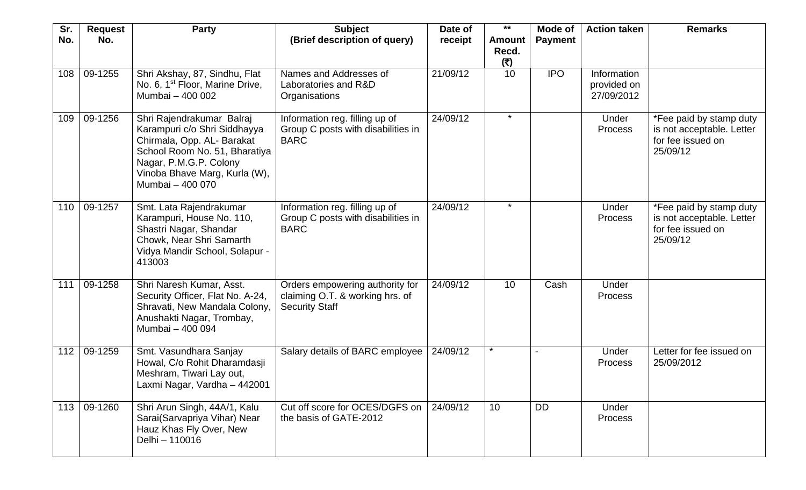| Sr. | <b>Request</b> | <b>Party</b>                                                                                                                                                                                            | <b>Subject</b>                                                                              | Date of  | $***$                         | Mode of        | <b>Action taken</b>                      | <b>Remarks</b>                                                                        |
|-----|----------------|---------------------------------------------------------------------------------------------------------------------------------------------------------------------------------------------------------|---------------------------------------------------------------------------------------------|----------|-------------------------------|----------------|------------------------------------------|---------------------------------------------------------------------------------------|
| No. | No.            |                                                                                                                                                                                                         | (Brief description of query)                                                                | receipt  | <b>Amount</b><br>Recd.<br>(5) | <b>Payment</b> |                                          |                                                                                       |
| 108 | 09-1255        | Shri Akshay, 87, Sindhu, Flat<br>No. 6, 1 <sup>st</sup> Floor, Marine Drive,<br>Mumbai - 400 002                                                                                                        | Names and Addresses of<br>Laboratories and R&D<br>Organisations                             | 21/09/12 | 10                            | <b>IPO</b>     | Information<br>provided on<br>27/09/2012 |                                                                                       |
| 109 | 09-1256        | Shri Rajendrakumar Balraj<br>Karampuri c/o Shri Siddhayya<br>Chirmala, Opp. AL- Barakat<br>School Room No. 51, Bharatiya<br>Nagar, P.M.G.P. Colony<br>Vinoba Bhave Marg, Kurla (W),<br>Mumbai - 400 070 | Information reg. filling up of<br>Group C posts with disabilities in<br><b>BARC</b>         | 24/09/12 | $\star$                       |                | Under<br>Process                         | *Fee paid by stamp duty<br>is not acceptable. Letter<br>for fee issued on<br>25/09/12 |
| 110 | 09-1257        | Smt. Lata Rajendrakumar<br>Karampuri, House No. 110,<br>Shastri Nagar, Shandar<br>Chowk, Near Shri Samarth<br>Vidya Mandir School, Solapur -<br>413003                                                  | Information reg. filling up of<br>Group C posts with disabilities in<br><b>BARC</b>         | 24/09/12 | $\star$                       |                | Under<br>Process                         | *Fee paid by stamp duty<br>is not acceptable. Letter<br>for fee issued on<br>25/09/12 |
| 111 | 09-1258        | Shri Naresh Kumar, Asst.<br>Security Officer, Flat No. A-24,<br>Shravati, New Mandala Colony,<br>Anushakti Nagar, Trombay,<br>Mumbai - 400 094                                                          | Orders empowering authority for<br>claiming O.T. & working hrs. of<br><b>Security Staff</b> | 24/09/12 | 10                            | Cash           | Under<br>Process                         |                                                                                       |
| 112 | 09-1259        | Smt. Vasundhara Sanjay<br>Howal, C/o Rohit Dharamdasji<br>Meshram, Tiwari Lay out,<br>Laxmi Nagar, Vardha - 442001                                                                                      | Salary details of BARC employee                                                             | 24/09/12 | $\star$                       |                | Under<br><b>Process</b>                  | Letter for fee issued on<br>25/09/2012                                                |
| 113 | 09-1260        | Shri Arun Singh, 44A/1, Kalu<br>Sarai(Sarvapriya Vihar) Near<br>Hauz Khas Fly Over, New<br>Delhi - 110016                                                                                               | Cut off score for OCES/DGFS on<br>the basis of GATE-2012                                    | 24/09/12 | 10                            | <b>DD</b>      | Under<br>Process                         |                                                                                       |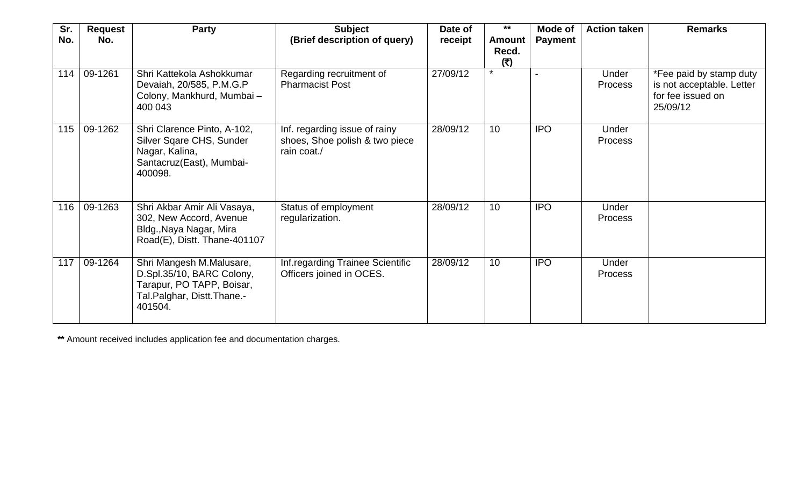| Sr.<br>No. | <b>Request</b><br>No. | <b>Party</b>                                                                                                                | <b>Subject</b><br>(Brief description of query)                                 | Date of<br>receipt | $***$<br><b>Amount</b> | Mode of<br><b>Payment</b> | <b>Action taken</b>     | <b>Remarks</b>                                                                        |
|------------|-----------------------|-----------------------------------------------------------------------------------------------------------------------------|--------------------------------------------------------------------------------|--------------------|------------------------|---------------------------|-------------------------|---------------------------------------------------------------------------------------|
|            |                       |                                                                                                                             |                                                                                |                    | Recd.<br>(5)           |                           |                         |                                                                                       |
| 114        | 09-1261               | Shri Kattekola Ashokkumar<br>Devaiah, 20/585, P.M.G.P<br>Colony, Mankhurd, Mumbai-<br>400 043                               | Regarding recruitment of<br><b>Pharmacist Post</b>                             | 27/09/12           | $\star$                |                           | Under<br><b>Process</b> | *Fee paid by stamp duty<br>is not acceptable. Letter<br>for fee issued on<br>25/09/12 |
| 115        | 09-1262               | Shri Clarence Pinto, A-102,<br>Silver Sqare CHS, Sunder<br>Nagar, Kalina,<br>Santacruz(East), Mumbai-<br>400098.            | Inf. regarding issue of rainy<br>shoes, Shoe polish & two piece<br>rain coat./ | 28/09/12           | 10 <sup>1</sup>        | <b>IPO</b>                | Under<br><b>Process</b> |                                                                                       |
| 116        | 09-1263               | Shri Akbar Amir Ali Vasaya,<br>302, New Accord, Avenue<br>Bldg., Naya Nagar, Mira<br>Road(E), Distt. Thane-401107           | Status of employment<br>regularization.                                        | 28/09/12           | 10                     | <b>IPO</b>                | Under<br><b>Process</b> |                                                                                       |
| 117        | 09-1264               | Shri Mangesh M.Malusare,<br>D.Spl.35/10, BARC Colony,<br>Tarapur, PO TAPP, Boisar,<br>Tal.Palghar, Distt.Thane.-<br>401504. | Inf.regarding Trainee Scientific<br>Officers joined in OCES.                   | 28/09/12           | 10                     | <b>IPO</b>                | Under<br><b>Process</b> |                                                                                       |

**\*\*** Amount received includes application fee and documentation charges.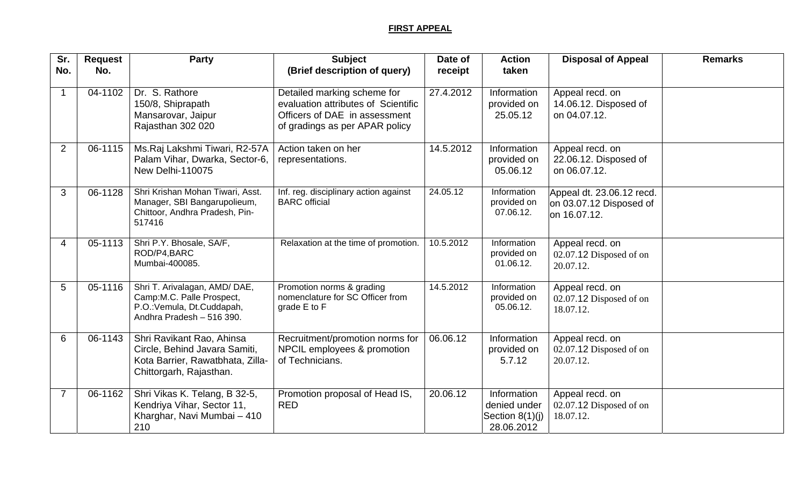## **FIRST APPEAL**

| Sr.            | <b>Request</b> | <b>Party</b>                                                                                                              | <b>Subject</b>                                                                                                                        | Date of   | <b>Action</b>                                                  | <b>Disposal of Appeal</b>                                            | <b>Remarks</b> |
|----------------|----------------|---------------------------------------------------------------------------------------------------------------------------|---------------------------------------------------------------------------------------------------------------------------------------|-----------|----------------------------------------------------------------|----------------------------------------------------------------------|----------------|
| No.            | No.            |                                                                                                                           | (Brief description of query)                                                                                                          | receipt   | taken                                                          |                                                                      |                |
|                | 04-1102        | Dr. S. Rathore<br>150/8, Shiprapath<br>Mansarovar, Jaipur<br>Rajasthan 302 020                                            | Detailed marking scheme for<br>evaluation attributes of Scientific<br>Officers of DAE in assessment<br>of gradings as per APAR policy | 27.4.2012 | Information<br>provided on<br>25.05.12                         | Appeal recd. on<br>14.06.12. Disposed of<br>on 04.07.12.             |                |
| 2              | 06-1115        | Ms.Raj Lakshmi Tiwari, R2-57A<br>Palam Vihar, Dwarka, Sector-6,<br>New Delhi-110075                                       | Action taken on her<br>representations.                                                                                               | 14.5.2012 | Information<br>provided on<br>05.06.12                         | Appeal recd. on<br>22.06.12. Disposed of<br>on 06.07.12.             |                |
| 3              | 06-1128        | Shri Krishan Mohan Tiwari, Asst.<br>Manager, SBI Bangarupolieum,<br>Chittoor, Andhra Pradesh, Pin-<br>517416              | Inf. reg. disciplinary action against<br><b>BARC</b> official                                                                         | 24.05.12  | Information<br>provided on<br>07.06.12.                        | Appeal dt. 23.06.12 recd.<br>on 03.07.12 Disposed of<br>on 16.07.12. |                |
| $\overline{4}$ | 05-1113        | Shri P.Y. Bhosale, SA/F,<br>ROD/P4, BARC<br>Mumbai-400085.                                                                | Relaxation at the time of promotion.                                                                                                  | 10.5.2012 | Information<br>provided on<br>01.06.12.                        | Appeal recd. on<br>02.07.12 Disposed of on<br>20.07.12.              |                |
| $5\phantom{1}$ | 05-1116        | Shri T. Arivalagan, AMD/DAE,<br>Camp:M.C. Palle Prospect,<br>P.O.: Vemula, Dt.Cuddapah,<br>Andhra Pradesh - 516 390.      | Promotion norms & grading<br>nomenclature for SC Officer from<br>grade E to F                                                         | 14.5.2012 | Information<br>provided on<br>05.06.12.                        | Appeal recd. on<br>02.07.12 Disposed of on<br>18.07.12.              |                |
| 6              | 06-1143        | Shri Ravikant Rao, Ahinsa<br>Circle, Behind Javara Samiti,<br>Kota Barrier, Rawatbhata, Zilla-<br>Chittorgarh, Rajasthan. | Recruitment/promotion norms for<br>NPCIL employees & promotion<br>of Technicians.                                                     | 06.06.12  | Information<br>provided on<br>5.7.12                           | Appeal recd. on<br>02.07.12 Disposed of on<br>20.07.12.              |                |
|                | 06-1162        | Shri Vikas K. Telang, B 32-5,<br>Kendriya Vihar, Sector 11,<br>Kharghar, Navi Mumbai - 410<br>210                         | Promotion proposal of Head IS,<br><b>RED</b>                                                                                          | 20.06.12  | Information<br>denied under<br>Section $8(1)(j)$<br>28.06.2012 | Appeal recd. on<br>02.07.12 Disposed of on<br>18.07.12.              |                |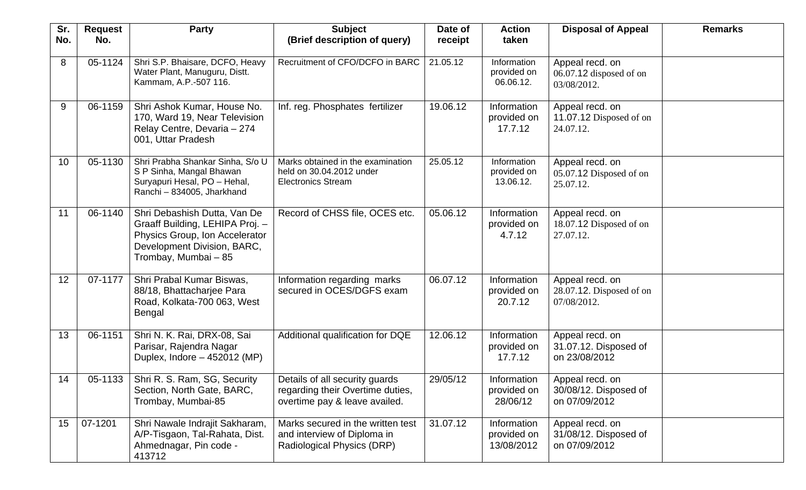| Sr.<br>No.      | <b>Request</b><br>No. | <b>Party</b>                                                                                                                                             | <b>Subject</b><br>(Brief description of query)                                                      | Date of<br>receipt | <b>Action</b><br>taken                   | <b>Disposal of Appeal</b>                                     | <b>Remarks</b> |
|-----------------|-----------------------|----------------------------------------------------------------------------------------------------------------------------------------------------------|-----------------------------------------------------------------------------------------------------|--------------------|------------------------------------------|---------------------------------------------------------------|----------------|
|                 |                       |                                                                                                                                                          |                                                                                                     |                    |                                          |                                                               |                |
| 8               | 05-1124               | Shri S.P. Bhaisare, DCFO, Heavy<br>Water Plant, Manuguru, Distt.<br>Kammam, A.P.-507 116.                                                                | Recruitment of CFO/DCFO in BARC                                                                     | 21.05.12           | Information<br>provided on<br>06.06.12.  | Appeal recd. on<br>06.07.12 disposed of on<br>03/08/2012.     |                |
| 9               | 06-1159               | Shri Ashok Kumar, House No.<br>170, Ward 19, Near Television<br>Relay Centre, Devaria - 274<br>001, Uttar Pradesh                                        | Inf. reg. Phosphates fertilizer                                                                     | 19.06.12           | Information<br>provided on<br>17.7.12    | Appeal recd. on<br>11.07.12 Disposed of on<br>24.07.12.       |                |
| 10 <sup>°</sup> | 05-1130               | Shri Prabha Shankar Sinha, S/o U<br>S P Sinha, Mangal Bhawan<br>Suryapuri Hesal, PO - Hehal,<br>Ranchi - 834005, Jharkhand                               | Marks obtained in the examination<br>held on 30.04.2012 under<br><b>Electronics Stream</b>          | 25.05.12           | Information<br>provided on<br>13.06.12.  | Appeal recd. on<br>05.07.12 Disposed of on<br>25.07.12.       |                |
| 11              | 06-1140               | Shri Debashish Dutta, Van De<br>Graaff Building, LEHIPA Proj. -<br>Physics Group, Ion Accelerator<br>Development Division, BARC,<br>Trombay, Mumbai - 85 | Record of CHSS file, OCES etc.                                                                      | 05.06.12           | Information<br>provided on<br>4.7.12     | Appeal recd. on<br>18.07.12 Disposed of on<br>27.07.12.       |                |
| 12 <sub>2</sub> | 07-1177               | Shri Prabal Kumar Biswas,<br>88/18, Bhattacharjee Para<br>Road, Kolkata-700 063, West<br><b>Bengal</b>                                                   | Information regarding marks<br>secured in OCES/DGFS exam                                            | 06.07.12           | Information<br>provided on<br>20.7.12    | Appeal recd. on<br>$28.07.12$ . Disposed of on<br>07/08/2012. |                |
| 13              | 06-1151               | Shri N. K. Rai, DRX-08, Sai<br>Parisar, Rajendra Nagar<br>Duplex, Indore - 452012 (MP)                                                                   | Additional qualification for DQE                                                                    | 12.06.12           | Information<br>provided on<br>17.7.12    | Appeal recd. on<br>31.07.12. Disposed of<br>on 23/08/2012     |                |
| 14              | $05-1133$             | Shri R. S. Ram, SG, Security<br>Section, North Gate, BARC,<br>Trombay, Mumbai-85                                                                         | Details of all security guards<br>regarding their Overtime duties,<br>overtime pay & leave availed. | 29/05/12           | Information<br>provided on<br>28/06/12   | Appeal recd. on<br>30/08/12. Disposed of<br>on 07/09/2012     |                |
| 15              | 07-1201               | Shri Nawale Indrajit Sakharam,<br>A/P-Tisgaon, Tal-Rahata, Dist.<br>Ahmednagar, Pin code -<br>413712                                                     | Marks secured in the written test<br>and interview of Diploma in<br>Radiological Physics (DRP)      | 31.07.12           | Information<br>provided on<br>13/08/2012 | Appeal recd. on<br>31/08/12. Disposed of<br>on 07/09/2012     |                |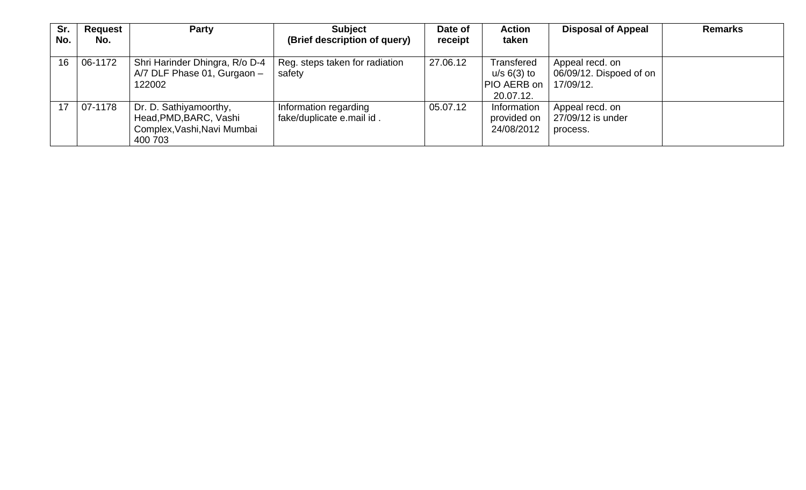| Sr.<br>No. | Request<br>No. | <b>Party</b>                                                                               | <b>Subject</b><br>(Brief description of query)     | Date of<br>receipt | <b>Action</b><br>taken                                    | <b>Disposal of Appeal</b>                               | <b>Remarks</b> |
|------------|----------------|--------------------------------------------------------------------------------------------|----------------------------------------------------|--------------------|-----------------------------------------------------------|---------------------------------------------------------|----------------|
| 16         | 06-1172        | Shri Harinder Dhingra, R/o D-4<br>A/7 DLF Phase 01, Gurgaon -<br>122002                    | Reg. steps taken for radiation<br>safety           | 27.06.12           | Transfered<br>$u/s$ 6(3) to<br>PIO AERB on  <br>20.07.12. | Appeal recd. on<br>06/09/12. Dispoed of on<br>17/09/12. |                |
| 17         | 07-1178        | Dr. D. Sathiyamoorthy,<br>Head, PMD, BARC, Vashi<br>Complex, Vashi, Navi Mumbai<br>400 703 | Information regarding<br>fake/duplicate e.mail id. | 05.07.12           | Information<br>provided on<br>24/08/2012                  | Appeal recd. on<br>27/09/12 is under<br>process.        |                |